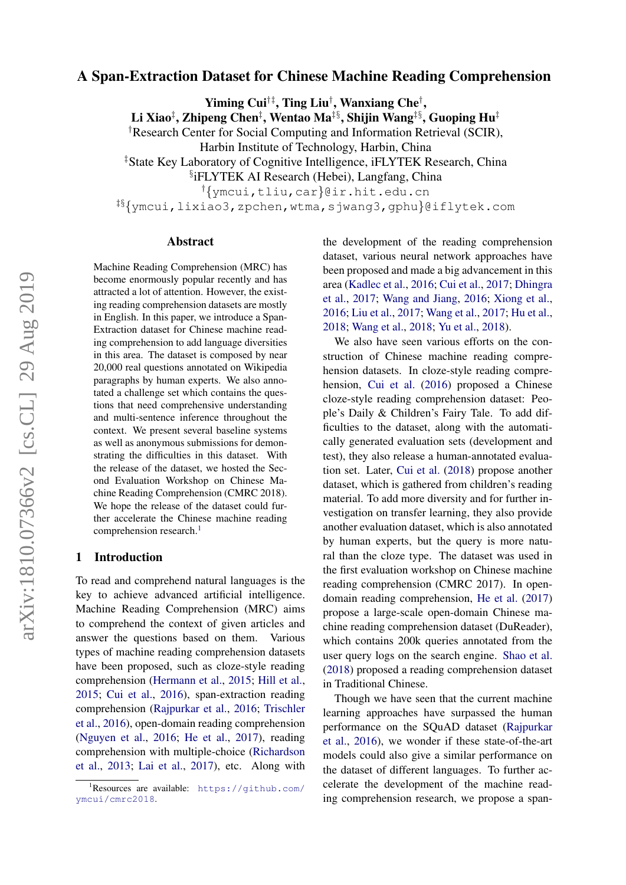# A Span-Extraction Dataset for Chinese Machine Reading Comprehension

Yiming Cui†‡, Ting Liu† , Wanxiang Che† ,

Li Xiao‡, Zhipeng Chen‡, Wentao Ma‡§, Shijin Wang‡§, Guoping Hu‡

†Research Center for Social Computing and Information Retrieval (SCIR),

Harbin Institute of Technology, Harbin, China

‡State Key Laboratory of Cognitive Intelligence, iFLYTEK Research, China

§ iFLYTEK AI Research (Hebei), Langfang, China

†{ymcui,tliu,car}@ir.hit.edu.cn

‡§{ymcui,lixiao3,zpchen,wtma,sjwang3,gphu}@iflytek.com

#### Abstract

Machine Reading Comprehension (MRC) has become enormously popular recently and has attracted a lot of attention. However, the existing reading comprehension datasets are mostly in English. In this paper, we introduce a Span-Extraction dataset for Chinese machine reading comprehension to add language diversities in this area. The dataset is composed by near 20,000 real questions annotated on Wikipedia paragraphs by human experts. We also annotated a challenge set which contains the questions that need comprehensive understanding and multi-sentence inference throughout the context. We present several baseline systems as well as anonymous submissions for demonstrating the difficulties in this dataset. With the release of the dataset, we hosted the Second Evaluation Workshop on Chinese Machine Reading Comprehension (CMRC 2018). We hope the release of the dataset could further accelerate the Chinese machine reading comprehension research.<sup>[1](#page-0-0)</sup>

### 1 Introduction

To read and comprehend natural languages is the key to achieve advanced artificial intelligence. Machine Reading Comprehension (MRC) aims to comprehend the context of given articles and answer the questions based on them. Various types of machine reading comprehension datasets have been proposed, such as cloze-style reading comprehension [\(Hermann et al.,](#page-5-0) [2015;](#page-5-0) [Hill et al.,](#page-5-1) [2015;](#page-5-1) [Cui et al.,](#page-4-0) [2016\)](#page-4-0), span-extraction reading comprehension [\(Rajpurkar et al.,](#page-5-2) [2016;](#page-5-2) [Trischler](#page-5-3) [et al.,](#page-5-3) [2016\)](#page-5-3), open-domain reading comprehension [\(Nguyen et al.,](#page-5-4) [2016;](#page-5-4) [He et al.,](#page-5-5) [2017\)](#page-5-5), reading comprehension with multiple-choice [\(Richardson](#page-5-6) [et al.,](#page-5-6) [2013;](#page-5-6) [Lai et al.,](#page-5-7) [2017\)](#page-5-7), etc. Along with

the development of the reading comprehension dataset, various neural network approaches have been proposed and made a big advancement in this area [\(Kadlec et al.,](#page-5-8) [2016;](#page-5-8) [Cui et al.,](#page-4-1) [2017;](#page-4-1) [Dhingra](#page-5-9) [et al.,](#page-5-9) [2017;](#page-5-9) [Wang and Jiang,](#page-5-10) [2016;](#page-5-10) [Xiong et al.,](#page-5-11) [2016;](#page-5-11) [Liu et al.,](#page-5-12) [2017;](#page-5-12) [Wang et al.,](#page-5-13) [2017;](#page-5-13) [Hu et al.,](#page-5-14) [2018;](#page-5-14) [Wang et al.,](#page-5-15) [2018;](#page-5-15) [Yu et al.,](#page-5-16) [2018\)](#page-5-16).

We also have seen various efforts on the construction of Chinese machine reading comprehension datasets. In cloze-style reading comprehension, [Cui et al.](#page-4-0) [\(2016\)](#page-4-0) proposed a Chinese cloze-style reading comprehension dataset: People's Daily & Children's Fairy Tale. To add difficulties to the dataset, along with the automatically generated evaluation sets (development and test), they also release a human-annotated evaluation set. Later, [Cui et al.](#page-4-2) [\(2018\)](#page-4-2) propose another dataset, which is gathered from children's reading material. To add more diversity and for further investigation on transfer learning, they also provide another evaluation dataset, which is also annotated by human experts, but the query is more natural than the cloze type. The dataset was used in the first evaluation workshop on Chinese machine reading comprehension (CMRC 2017). In opendomain reading comprehension, [He et al.](#page-5-5) [\(2017\)](#page-5-5) propose a large-scale open-domain Chinese machine reading comprehension dataset (DuReader), which contains 200k queries annotated from the user query logs on the search engine. [Shao et al.](#page-5-17) [\(2018\)](#page-5-17) proposed a reading comprehension dataset in Traditional Chinese.

Though we have seen that the current machine learning approaches have surpassed the human performance on the SQuAD dataset [\(Rajpurkar](#page-5-2) [et al.,](#page-5-2) [2016\)](#page-5-2), we wonder if these state-of-the-art models could also give a similar performance on the dataset of different languages. To further accelerate the development of the machine reading comprehension research, we propose a span-

<span id="page-0-0"></span><sup>&</sup>lt;sup>1</sup>Resources are available: [https://github.com/](https://github.com/ymcui/cmrc2018) [ymcui/cmrc2018](https://github.com/ymcui/cmrc2018).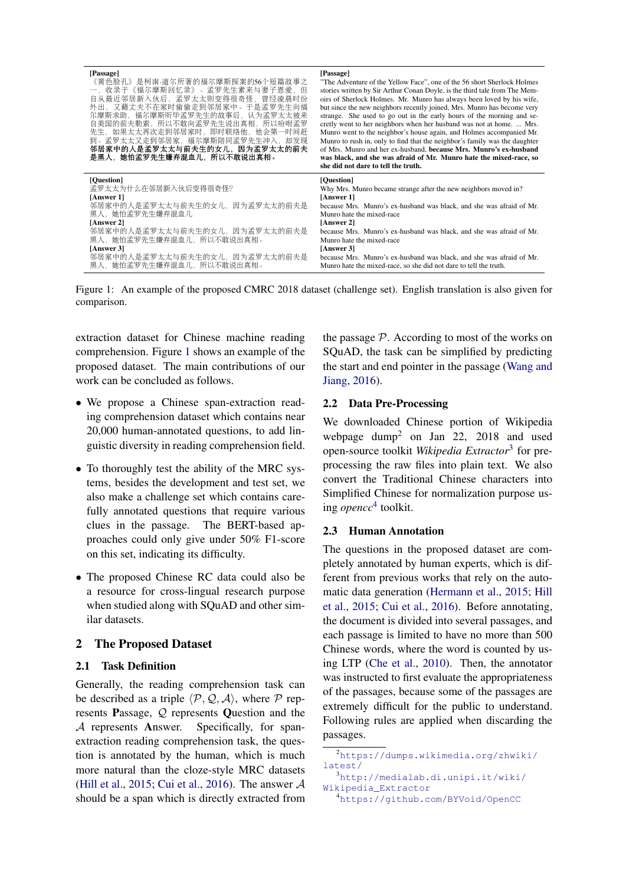<span id="page-1-0"></span>

| [Passage]<br>《黄色脸孔》是柯南·道尔所著的福尔摩斯探案的56个短篇故事之<br>一,收录于《福尔摩斯回忆录》。孟罗先生素来与妻子恩爱,但<br>自从最近邻居新入伙后,孟罗太太则变得很奇怪,曾经凌晨时份<br>外出,又藉丈夫不在家时偷偷走到邻居家中。于是孟罗先生向福<br>尔摩斯求助,福尔摩斯听毕孟罗先生的故事后,认为孟罗太太被来<br>自美国的前夫勒索, 所以不敢向孟罗先生说出真相, 所以吩咐孟罗<br>先生,如果太太再次走到邻居家时,即时联络他,他会第一时间赶<br>到。孟罗太太又走到邻居家,福尔摩斯陪同孟罗先生冲入,却发现<br>邻居家中的人是孟罗太太与前夫生的女儿,因为孟罗太太的前夫<br>是黑人,她怕孟罗先生嫌弃混血儿,所以不敢说出真相。 | [Passage]<br>"The Adventure of the Yellow Face", one of the 56 short Sherlock Holmes<br>stories written by Sir Arthur Conan Doyle, is the third tale from The Mem-<br>oirs of Sherlock Holmes. Mr. Munro has always been loved by his wife,<br>but since the new neighbors recently joined, Mrs. Munro has become very<br>strange. She used to go out in the early hours of the morning and se-<br>cretly went to her neighbors when her husband was not at home.  Mrs.<br>Munro went to the neighbor's house again, and Holmes accompanied Mr.<br>Munro to rush in, only to find that the neighbor's family was the daughter<br>of Mrs. Munro and her ex-husband, because Mrs. Munro's ex-husband<br>was black, and she was afraid of Mr. Munro hate the mixed-race, so<br>she did not dare to tell the truth. |
|------------------------------------------------------------------------------------------------------------------------------------------------------------------------------------------------------------------------------------------------------------------------------------------------------------------------------------------------|-----------------------------------------------------------------------------------------------------------------------------------------------------------------------------------------------------------------------------------------------------------------------------------------------------------------------------------------------------------------------------------------------------------------------------------------------------------------------------------------------------------------------------------------------------------------------------------------------------------------------------------------------------------------------------------------------------------------------------------------------------------------------------------------------------------------|
| [Ouestion]                                                                                                                                                                                                                                                                                                                                     | [Ouestion]                                                                                                                                                                                                                                                                                                                                                                                                                                                                                                                                                                                                                                                                                                                                                                                                      |
| 孟罗太太为什么在邻居新入伙后变得很奇怪?                                                                                                                                                                                                                                                                                                                           | Why Mrs. Munro became strange after the new neighbors moved in?                                                                                                                                                                                                                                                                                                                                                                                                                                                                                                                                                                                                                                                                                                                                                 |
| [Answer 1]                                                                                                                                                                                                                                                                                                                                     | [Answer 1]                                                                                                                                                                                                                                                                                                                                                                                                                                                                                                                                                                                                                                                                                                                                                                                                      |
| 邻居家中的人是孟罗太太与前夫生的女儿,因为孟罗太太的前夫是                                                                                                                                                                                                                                                                                                                  | because Mrs. Munro's ex-husband was black, and she was afraid of Mr.                                                                                                                                                                                                                                                                                                                                                                                                                                                                                                                                                                                                                                                                                                                                            |
| 黑人,她怕孟罗先生嫌弃混血儿                                                                                                                                                                                                                                                                                                                                 | Munro hate the mixed-race                                                                                                                                                                                                                                                                                                                                                                                                                                                                                                                                                                                                                                                                                                                                                                                       |
| [Answer 2]                                                                                                                                                                                                                                                                                                                                     | [Answer 2]                                                                                                                                                                                                                                                                                                                                                                                                                                                                                                                                                                                                                                                                                                                                                                                                      |
| 邻居家中的人是孟罗太太与前夫生的女儿,因为孟罗太太的前夫是                                                                                                                                                                                                                                                                                                                  | because Mrs. Munro's ex-husband was black, and she was afraid of Mr.                                                                                                                                                                                                                                                                                                                                                                                                                                                                                                                                                                                                                                                                                                                                            |
| 黑人,她怕孟罗先生嫌弃混血儿,所以不敢说出真相。                                                                                                                                                                                                                                                                                                                       | Munro hate the mixed-race                                                                                                                                                                                                                                                                                                                                                                                                                                                                                                                                                                                                                                                                                                                                                                                       |
| [Answer 3]                                                                                                                                                                                                                                                                                                                                     | [Answer 3]                                                                                                                                                                                                                                                                                                                                                                                                                                                                                                                                                                                                                                                                                                                                                                                                      |
| 邻居家中的人是孟罗太太与前夫生的女儿,因为孟罗太太的前夫是                                                                                                                                                                                                                                                                                                                  | because Mrs. Munro's ex-husband was black, and she was afraid of Mr.                                                                                                                                                                                                                                                                                                                                                                                                                                                                                                                                                                                                                                                                                                                                            |
| 黑人, 她怕孟罗先生嫌弃混血儿, 所以不敢说出真相。                                                                                                                                                                                                                                                                                                                     | Munro hate the mixed-race, so she did not dare to tell the truth.                                                                                                                                                                                                                                                                                                                                                                                                                                                                                                                                                                                                                                                                                                                                               |

Figure 1: An example of the proposed CMRC 2018 dataset (challenge set). English translation is also given for comparison.

extraction dataset for Chinese machine reading comprehension. Figure [1](#page-1-0) shows an example of the proposed dataset. The main contributions of our work can be concluded as follows.

- We propose a Chinese span-extraction reading comprehension dataset which contains near 20,000 human-annotated questions, to add linguistic diversity in reading comprehension field.
- To thoroughly test the ability of the MRC systems, besides the development and test set, we also make a challenge set which contains carefully annotated questions that require various clues in the passage. The BERT-based approaches could only give under 50% F1-score on this set, indicating its difficulty.
- The proposed Chinese RC data could also be a resource for cross-lingual research purpose when studied along with SQuAD and other similar datasets.

#### 2 The Proposed Dataset

#### 2.1 Task Definition

Generally, the reading comprehension task can be described as a triple  $\langle \mathcal{P}, \mathcal{Q}, \mathcal{A} \rangle$ , where P represents Passage, Q represents Question and the A represents Answer. Specifically, for spanextraction reading comprehension task, the question is annotated by the human, which is much more natural than the cloze-style MRC datasets [\(Hill et al.,](#page-5-1) [2015;](#page-5-1) [Cui et al.,](#page-4-0) [2016\)](#page-4-0). The answer  $A$ should be a span which is directly extracted from the passage  $P$ . According to most of the works on SQuAD, the task can be simplified by predicting the start and end pointer in the passage [\(Wang and](#page-5-10) [Jiang,](#page-5-10) [2016\)](#page-5-10).

# 2.2 Data Pre-Processing

We downloaded Chinese portion of Wikipedia webpage dump[2](#page-1-1) on Jan 22, 2018 and used open-source toolkit *Wikipedia Extractor*[3](#page-1-2) for preprocessing the raw files into plain text. We also convert the Traditional Chinese characters into Simplified Chinese for normalization purpose using *opencc*[4](#page-1-3) toolkit.

#### 2.3 Human Annotation

The questions in the proposed dataset are completely annotated by human experts, which is different from previous works that rely on the automatic data generation [\(Hermann et al.,](#page-5-0) [2015;](#page-5-0) [Hill](#page-5-1) [et al.,](#page-5-1) [2015;](#page-5-1) [Cui et al.,](#page-4-0) [2016\)](#page-4-0). Before annotating, the document is divided into several passages, and each passage is limited to have no more than 500 Chinese words, where the word is counted by using LTP [\(Che et al.,](#page-4-3) [2010\)](#page-4-3). Then, the annotator was instructed to first evaluate the appropriateness of the passages, because some of the passages are extremely difficult for the public to understand. Following rules are applied when discarding the passages.

<span id="page-1-1"></span><sup>2</sup>[https://dumps.wikimedia.org/zhwiki/](https://dumps.wikimedia.org/zhwiki/latest/) [latest/](https://dumps.wikimedia.org/zhwiki/latest/)

<span id="page-1-2"></span><sup>3</sup>[http://medialab.di.unipi.it/wiki/](http://medialab.di.unipi.it/wiki/Wikipedia_Extractor) [Wikipedia\\_Extractor](http://medialab.di.unipi.it/wiki/Wikipedia_Extractor)

<span id="page-1-3"></span><sup>4</sup><https://github.com/BYVoid/OpenCC>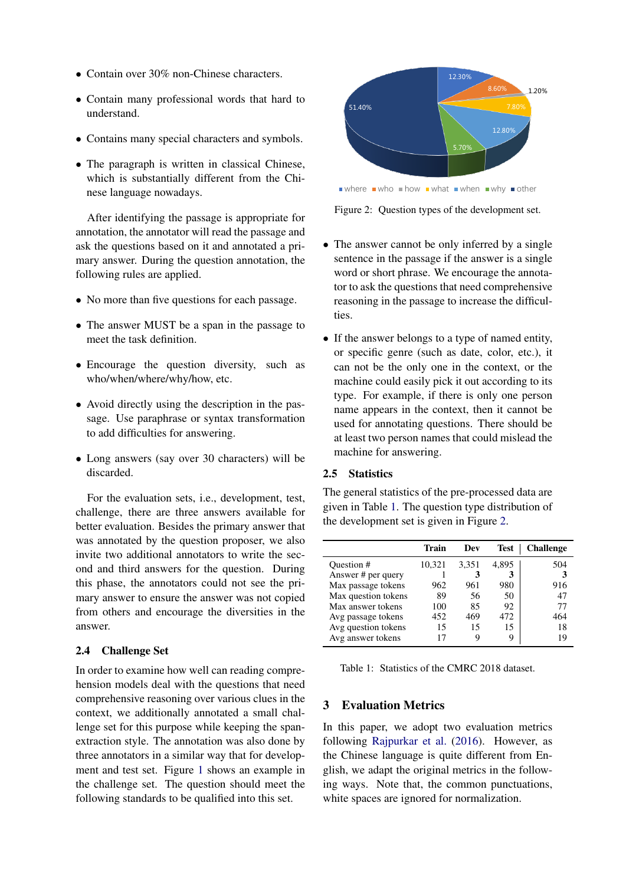- Contain over 30% non-Chinese characters.
- Contain many professional words that hard to understand.
- Contains many special characters and symbols.
- The paragraph is written in classical Chinese, which is substantially different from the Chinese language nowadays.

After identifying the passage is appropriate for annotation, the annotator will read the passage and ask the questions based on it and annotated a primary answer. During the question annotation, the following rules are applied.

- No more than five questions for each passage.
- The answer MUST be a span in the passage to meet the task definition.
- Encourage the question diversity, such as who/when/where/why/how, etc.
- Avoid directly using the description in the passage. Use paraphrase or syntax transformation to add difficulties for answering.
- Long answers (say over 30 characters) will be discarded.

For the evaluation sets, i.e., development, test, challenge, there are three answers available for better evaluation. Besides the primary answer that was annotated by the question proposer, we also invite two additional annotators to write the second and third answers for the question. During this phase, the annotators could not see the primary answer to ensure the answer was not copied from others and encourage the diversities in the answer.

### 2.4 Challenge Set

In order to examine how well can reading comprehension models deal with the questions that need comprehensive reasoning over various clues in the context, we additionally annotated a small challenge set for this purpose while keeping the spanextraction style. The annotation was also done by three annotators in a similar way that for development and test set. Figure [1](#page-1-0) shows an example in the challenge set. The question should meet the following standards to be qualified into this set.

<span id="page-2-1"></span>

where  $\blacksquare$  who  $\blacksquare$  how  $\blacksquare$  what  $\blacksquare$  when  $\blacksquare$  why  $\blacksquare$  other

Figure 2: Question types of the development set.

- The answer cannot be only inferred by a single sentence in the passage if the answer is a single word or short phrase. We encourage the annotator to ask the questions that need comprehensive reasoning in the passage to increase the difficulties.
- If the answer belongs to a type of named entity, or specific genre (such as date, color, etc.), it can not be the only one in the context, or the machine could easily pick it out according to its type. For example, if there is only one person name appears in the context, then it cannot be used for annotating questions. There should be at least two person names that could mislead the machine for answering.

#### 2.5 Statistics

The general statistics of the pre-processed data are given in Table [1.](#page-2-0) The question type distribution of the development set is given in Figure [2.](#page-2-1)

<span id="page-2-0"></span>

|                     | Train  | Dev   | Test  | <b>Challenge</b> |
|---------------------|--------|-------|-------|------------------|
| Question #          | 10,321 | 3,351 | 4.895 | 504              |
| Answer # per query  |        | 3     | 3     | 3                |
| Max passage tokens  | 962    | 961   | 980   | 916              |
| Max question tokens | 89     | 56    | 50    | 47               |
| Max answer tokens   | 100    | 85    | 92    | 77               |
| Avg passage tokens  | 452    | 469   | 472   | 464              |
| Avg question tokens | 15     | 15    | 15    | 18               |
| Avg answer tokens   | 17     | 9     | Q     | 19               |

Table 1: Statistics of the CMRC 2018 dataset.

### 3 Evaluation Metrics

In this paper, we adopt two evaluation metrics following [Rajpurkar et al.](#page-5-2) [\(2016\)](#page-5-2). However, as the Chinese language is quite different from English, we adapt the original metrics in the following ways. Note that, the common punctuations, white spaces are ignored for normalization.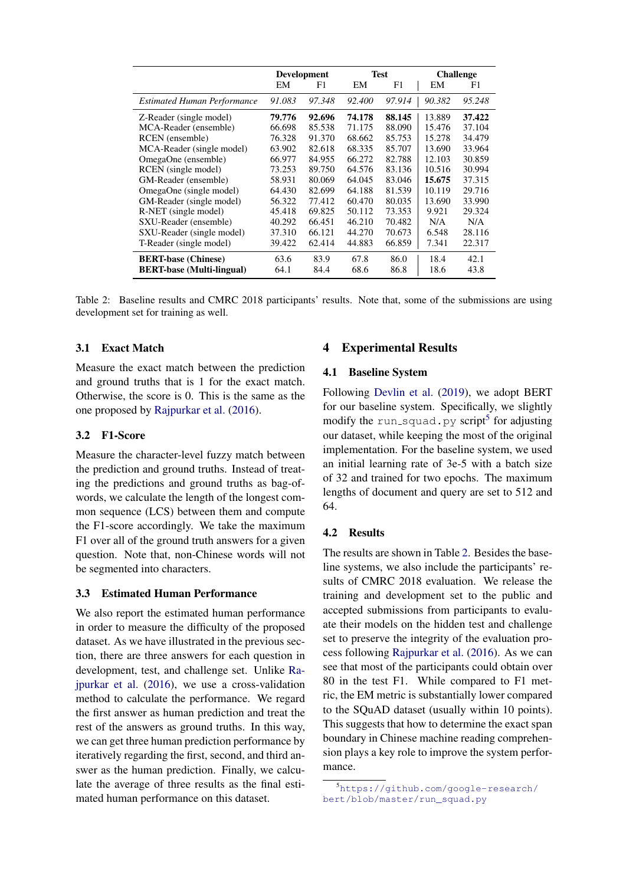<span id="page-3-1"></span>

|                                    | <b>Development</b> |        | <b>Test</b> |        | <b>Challenge</b> |        |
|------------------------------------|--------------------|--------|-------------|--------|------------------|--------|
|                                    | EМ                 | F1     | EM          | F1     | EM               | F1     |
| <b>Estimated Human Performance</b> | 91.083             | 97.348 | 92.400      | 97.914 | 90.382           | 95.248 |
| Z-Reader (single model)            | 79.776             | 92.696 | 74.178      | 88.145 | 13.889           | 37.422 |
| MCA-Reader (ensemble)              | 66.698             | 85.538 | 71.175      | 88.090 | 15.476           | 37.104 |
| RCEN (ensemble)                    | 76.328             | 91.370 | 68.662      | 85.753 | 15.278           | 34.479 |
| MCA-Reader (single model)          | 63.902             | 82.618 | 68.335      | 85.707 | 13.690           | 33.964 |
| OmegaOne (ensemble)                | 66.977             | 84.955 | 66.272      | 82.788 | 12.103           | 30.859 |
| RCEN (single model)                | 73.253             | 89.750 | 64.576      | 83.136 | 10.516           | 30.994 |
| GM-Reader (ensemble)               | 58.931             | 80.069 | 64.045      | 83.046 | 15.675           | 37.315 |
| OmegaOne (single model)            | 64.430             | 82.699 | 64.188      | 81.539 | 10.119           | 29.716 |
| GM-Reader (single model)           | 56.322             | 77.412 | 60.470      | 80.035 | 13.690           | 33.990 |
| R-NET (single model)               | 45.418             | 69.825 | 50.112      | 73.353 | 9.921            | 29.324 |
| SXU-Reader (ensemble)              | 40.292             | 66.451 | 46.210      | 70.482 | N/A              | N/A    |
| SXU-Reader (single model)          | 37.310             | 66.121 | 44.270      | 70.673 | 6.548            | 28.116 |
| T-Reader (single model)            | 39.422             | 62.414 | 44.883      | 66.859 | 7.341            | 22.317 |
| <b>BERT-base (Chinese)</b>         | 63.6               | 83.9   | 67.8        | 86.0   | 18.4             | 42.1   |
| <b>BERT-base (Multi-lingual)</b>   | 64.1               | 84.4   | 68.6        | 86.8   | 18.6             | 43.8   |

Table 2: Baseline results and CMRC 2018 participants' results. Note that, some of the submissions are using development set for training as well.

#### 3.1 Exact Match

Measure the exact match between the prediction and ground truths that is 1 for the exact match. Otherwise, the score is 0. This is the same as the one proposed by [Rajpurkar et al.](#page-5-2) [\(2016\)](#page-5-2).

### 3.2 F1-Score

Measure the character-level fuzzy match between the prediction and ground truths. Instead of treating the predictions and ground truths as bag-ofwords, we calculate the length of the longest common sequence (LCS) between them and compute the F1-score accordingly. We take the maximum F1 over all of the ground truth answers for a given question. Note that, non-Chinese words will not be segmented into characters.

#### 3.3 Estimated Human Performance

We also report the estimated human performance in order to measure the difficulty of the proposed dataset. As we have illustrated in the previous section, there are three answers for each question in development, test, and challenge set. Unlike [Ra](#page-5-2)[jpurkar et al.](#page-5-2) [\(2016\)](#page-5-2), we use a cross-validation method to calculate the performance. We regard the first answer as human prediction and treat the rest of the answers as ground truths. In this way, we can get three human prediction performance by iteratively regarding the first, second, and third answer as the human prediction. Finally, we calculate the average of three results as the final estimated human performance on this dataset.

#### 4 Experimental Results

#### 4.1 Baseline System

Following [Devlin et al.](#page-5-18) [\(2019\)](#page-5-18), we adopt BERT for our baseline system. Specifically, we slightly modify the run\_squad.py script<sup>[5](#page-3-0)</sup> for adjusting our dataset, while keeping the most of the original implementation. For the baseline system, we used an initial learning rate of 3e-5 with a batch size of 32 and trained for two epochs. The maximum lengths of document and query are set to 512 and 64.

#### 4.2 Results

The results are shown in Table [2.](#page-3-1) Besides the baseline systems, we also include the participants' results of CMRC 2018 evaluation. We release the training and development set to the public and accepted submissions from participants to evaluate their models on the hidden test and challenge set to preserve the integrity of the evaluation process following [Rajpurkar et al.](#page-5-2) [\(2016\)](#page-5-2). As we can see that most of the participants could obtain over 80 in the test F1. While compared to F1 metric, the EM metric is substantially lower compared to the SQuAD dataset (usually within 10 points). This suggests that how to determine the exact span boundary in Chinese machine reading comprehension plays a key role to improve the system performance.

<span id="page-3-0"></span><sup>5</sup>[https://github.com/google-research/](https://github.com/google-research/bert/blob/master/run_squad.py) [bert/blob/master/run\\_squad.py](https://github.com/google-research/bert/blob/master/run_squad.py)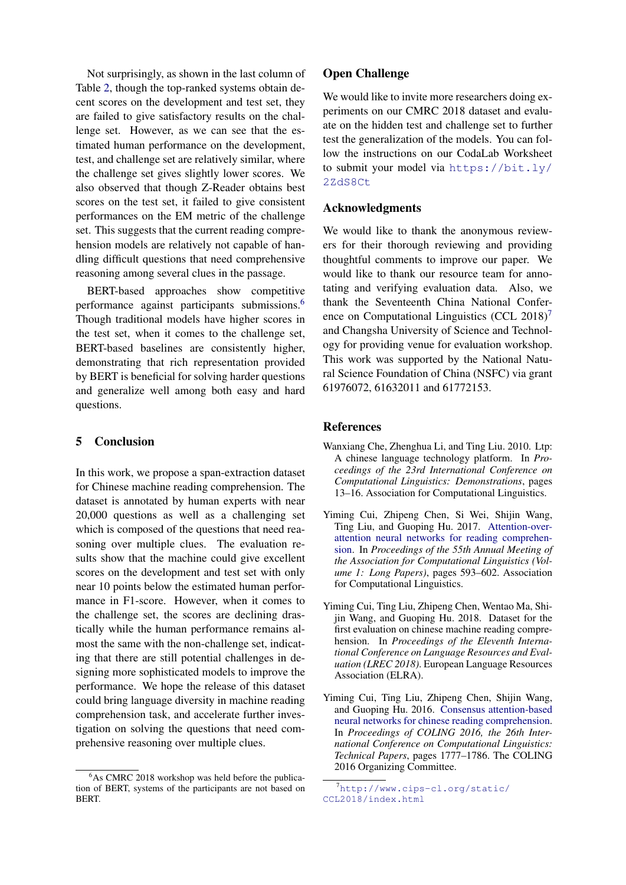Not surprisingly, as shown in the last column of Table [2,](#page-3-1) though the top-ranked systems obtain decent scores on the development and test set, they are failed to give satisfactory results on the challenge set. However, as we can see that the estimated human performance on the development, test, and challenge set are relatively similar, where the challenge set gives slightly lower scores. We also observed that though Z-Reader obtains best scores on the test set, it failed to give consistent performances on the EM metric of the challenge set. This suggests that the current reading comprehension models are relatively not capable of handling difficult questions that need comprehensive reasoning among several clues in the passage.

BERT-based approaches show competitive performance against participants submissions.[6](#page-4-4) Though traditional models have higher scores in the test set, when it comes to the challenge set, BERT-based baselines are consistently higher, demonstrating that rich representation provided by BERT is beneficial for solving harder questions and generalize well among both easy and hard questions.

# 5 Conclusion

In this work, we propose a span-extraction dataset for Chinese machine reading comprehension. The dataset is annotated by human experts with near 20,000 questions as well as a challenging set which is composed of the questions that need reasoning over multiple clues. The evaluation results show that the machine could give excellent scores on the development and test set with only near 10 points below the estimated human performance in F1-score. However, when it comes to the challenge set, the scores are declining drastically while the human performance remains almost the same with the non-challenge set, indicating that there are still potential challenges in designing more sophisticated models to improve the performance. We hope the release of this dataset could bring language diversity in machine reading comprehension task, and accelerate further investigation on solving the questions that need comprehensive reasoning over multiple clues.

### Open Challenge

We would like to invite more researchers doing experiments on our CMRC 2018 dataset and evaluate on the hidden test and challenge set to further test the generalization of the models. You can follow the instructions on our CodaLab Worksheet to submit your model via [https://bit.ly/](https://bit.ly/2ZdS8Ct) [2ZdS8Ct](https://bit.ly/2ZdS8Ct)

### Acknowledgments

We would like to thank the anonymous reviewers for their thorough reviewing and providing thoughtful comments to improve our paper. We would like to thank our resource team for annotating and verifying evaluation data. Also, we thank the Seventeenth China National Conference on Computational Linguistics (CCL  $2018$ )<sup>[7](#page-4-5)</sup> and Changsha University of Science and Technology for providing venue for evaluation workshop. This work was supported by the National Natural Science Foundation of China (NSFC) via grant 61976072, 61632011 and 61772153.

#### References

- <span id="page-4-3"></span>Wanxiang Che, Zhenghua Li, and Ting Liu. 2010. Ltp: A chinese language technology platform. In *Proceedings of the 23rd International Conference on Computational Linguistics: Demonstrations*, pages 13–16. Association for Computational Linguistics.
- <span id="page-4-1"></span>Yiming Cui, Zhipeng Chen, Si Wei, Shijin Wang, Ting Liu, and Guoping Hu. 2017. [Attention-over](https://doi.org/10.18653/v1/P17-1055)[attention neural networks for reading comprehen](https://doi.org/10.18653/v1/P17-1055)[sion.](https://doi.org/10.18653/v1/P17-1055) In *Proceedings of the 55th Annual Meeting of the Association for Computational Linguistics (Volume 1: Long Papers)*, pages 593–602. Association for Computational Linguistics.
- <span id="page-4-2"></span>Yiming Cui, Ting Liu, Zhipeng Chen, Wentao Ma, Shijin Wang, and Guoping Hu. 2018. Dataset for the first evaluation on chinese machine reading comprehension. In *Proceedings of the Eleventh International Conference on Language Resources and Evaluation (LREC 2018)*. European Language Resources Association (ELRA).
- <span id="page-4-0"></span>Yiming Cui, Ting Liu, Zhipeng Chen, Shijin Wang, and Guoping Hu. 2016. [Consensus attention-based](http://aclweb.org/anthology/C16-1167) [neural networks for chinese reading comprehension.](http://aclweb.org/anthology/C16-1167) In *Proceedings of COLING 2016, the 26th International Conference on Computational Linguistics: Technical Papers*, pages 1777–1786. The COLING 2016 Organizing Committee.

<span id="page-4-4"></span><sup>&</sup>lt;sup>6</sup>As CMRC 2018 workshop was held before the publication of BERT, systems of the participants are not based on BERT.

<span id="page-4-5"></span> $7$ [http://www.cips-cl.org/static/](http://www.cips-cl.org/static/CCL2018/index.html) [CCL2018/index.html](http://www.cips-cl.org/static/CCL2018/index.html)